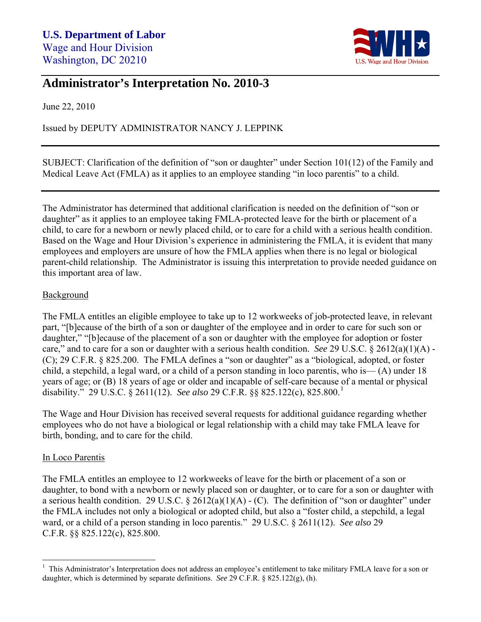

## **Administrator's Interpretation No. 2010-3**

June 22, 2010

Issued by DEPUTY ADMINISTRATOR NANCY J. LEPPINK

SUBJECT: Clarification of the definition of "son or daughter" under Section 101(12) of the Family and Medical Leave Act (FMLA) as it applies to an employee standing "in loco parentis" to a child.

The Administrator has determined that additional clarification is needed on the definition of "son or daughter" as it applies to an employee taking FMLA-protected leave for the birth or placement of a child, to care for a newborn or newly placed child, or to care for a child with a serious health condition. Based on the Wage and Hour Division's experience in administering the FMLA, it is evident that many employees and employers are unsure of how the FMLA applies when there is no legal or biological parent-child relationship. The Administrator is issuing this interpretation to provide needed guidance on this important area of law.

## **Background**

The FMLA entitles an eligible employee to take up to 12 workweeks of job-protected leave, in relevant part, "[b]ecause of the birth of a son or daughter of the employee and in order to care for such son or daughter," "[b]ecause of the placement of a son or daughter with the employee for adoption or foster care," and to care for a son or daughter with a serious health condition. *See* 29 U.S.C. § 2612(a)(1)(A) - (C); 29 C.F.R. § 825.200. The FMLA defines a "son or daughter" as a "biological, adopted, or foster child, a stepchild, a legal ward, or a child of a person standing in loco parentis, who is— $(A)$  under 18 years of age; or (B) 18 years of age or older and incapable of self-care because of a mental or physical disability." 29 U.S.C. § 2611(12). *See also* 29 C.F.R. §§ 825.122(c), 825.800.[1](#page-0-0)

The Wage and Hour Division has received several requests for additional guidance regarding whether employees who do not have a biological or legal relationship with a child may take FMLA leave for birth, bonding, and to care for the child.

## In Loco Parentis

The FMLA entitles an employee to 12 workweeks of leave for the birth or placement of a son or daughter, to bond with a newborn or newly placed son or daughter, or to care for a son or daughter with a serious health condition. 29 U.S.C.  $\S 2612(a)(1)(A) - (C)$ . The definition of "son or daughter" under the FMLA includes not only a biological or adopted child, but also a "foster child, a stepchild, a legal ward, or a child of a person standing in loco parentis." 29 U.S.C. § 2611(12). *See also* 29 C.F.R. §§ 825.122(c), 825.800.

<span id="page-0-0"></span> 1 This Administrator's Interpretation does not address an employee's entitlement to take military FMLA leave for a son or daughter, which is determined by separate definitions. *See* 29 C.F.R. § 825.122(g), (h).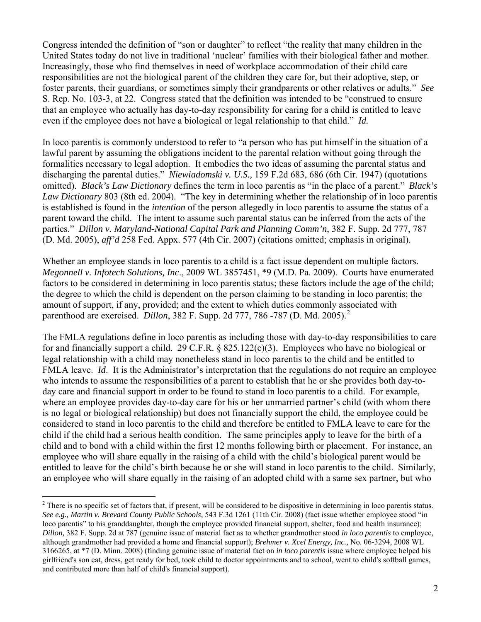Congress intended the definition of "son or daughter" to reflect "the reality that many children in the United States today do not live in traditional 'nuclear' families with their biological father and mother. Increasingly, those who find themselves in need of workplace accommodation of their child care responsibilities are not the biological parent of the children they care for, but their adoptive, step, or foster parents, their guardians, or sometimes simply their grandparents or other relatives or adults." *See* S. Rep. No. 103-3, at 22. Congress stated that the definition was intended to be "construed to ensure that an employee who actually has day-to-day responsibility for caring for a child is entitled to leave even if the employee does not have a biological or legal relationship to that child." *Id.*

In loco parentis is commonly understood to refer to "a person who has put himself in the situation of a lawful parent by assuming the obligations incident to the parental relation without going through the formalities necessary to legal adoption. It embodies the two ideas of assuming the parental status and discharging the parental duties." *Niewiadomski v. U.S.,* 159 F.2d 683, 686 (6th Cir. 1947) (quotations omitted). *Black's Law Dictionary* defines the term in loco parentis as "in the place of a parent." *Black's Law Dictionary* 803 (8th ed. 2004). "The key in determining whether the relationship of in loco parentis is established is found in the *intention* of the person allegedly in loco parentis to assume the status of a parent toward the child. The intent to assume such parental status can be inferred from the acts of the parties." *Dillon v. Maryland-National Capital Park and Planning Comm'n*, 382 F. Supp. 2d 777, 787 (D. Md. 2005), *aff'd* 258 Fed. Appx. 577 (4th Cir. 2007) (citations omitted; emphasis in original).

Whether an employee stands in loco parentis to a child is a fact issue dependent on multiple factors. *Megonnell v. Infotech Solutions, Inc*., 2009 WL 3857451, \*9 (M.D. Pa. 2009). Courts have enumerated factors to be considered in determining in loco parentis status; these factors include the age of the child; the degree to which the child is dependent on the person claiming to be standing in loco parentis; the amount of support, if any, provided; and the extent to which duties commonly associated with parenthood are exercised. *Dillon*, 38[2](#page-1-0) F. Supp. 2d 777, 786 -787 (D. Md. 2005).<sup>2</sup>

The FMLA regulations define in loco parentis as including those with day-to-day responsibilities to care for and financially support a child. 29 C.F.R. § 825.122(c)(3). Employees who have no biological or legal relationship with a child may nonetheless stand in loco parentis to the child and be entitled to FMLA leave. *Id*. It is the Administrator's interpretation that the regulations do not require an employee who intends to assume the responsibilities of a parent to establish that he or she provides both day-today care and financial support in order to be found to stand in loco parentis to a child. For example, where an employee provides day-to-day care for his or her unmarried partner's child (with whom there is no legal or biological relationship) but does not financially support the child, the employee could be considered to stand in loco parentis to the child and therefore be entitled to FMLA leave to care for the child if the child had a serious health condition. The same principles apply to leave for the birth of a child and to bond with a child within the first 12 months following birth or placement. For instance, an employee who will share equally in the raising of a child with the child's biological parent would be entitled to leave for the child's birth because he or she will stand in loco parentis to the child. Similarly, an employee who will share equally in the raising of an adopted child with a same sex partner, but who

<span id="page-1-0"></span> $\overline{a}$  $2^2$  There is no specific set of factors that, if present, will be considered to be dispositive in determining in loco parentis status. *See e.g., Martin v. Brevard County Public Schools*, 543 F.3d 1261 (11th Cir. 2008) (fact issue whether employee stood "in loco parentis" to his granddaughter, though the employee provided financial support, shelter, food and health insurance); *Dillon,* 382 F. Supp. 2d at 787 (genuine issue of material fact as to whether grandmother stood *in loco parentis* to employee, although grandmother had provided a home and financial support); *Brehmer v. Xcel Energy, Inc.,* No. 06-3294, 2008 WL 3166265, at \*7 (D. Minn. 2008) (finding genuine issue of material fact on *in loco parentis* issue where employee helped his girlfriend's son eat, dress, get ready for bed, took child to doctor appointments and to school, went to child's softball games, and contributed more than half of child's financial support).